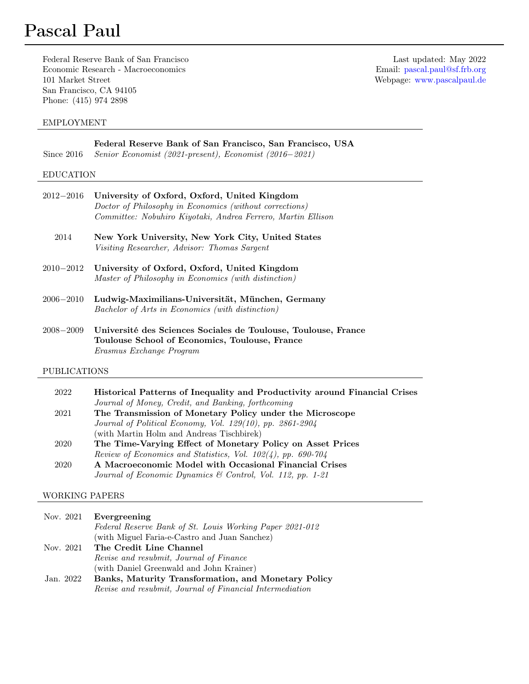Federal Reserve Bank of San Francisco Last updated: May 2022 Economic Research - Macroeconomics Email: [pascal.paul@sf.frb.org](mailto:pascal.paul@sf.frb.org) 101 Market Street Webpage: [www.pascalpaul.de](http://www.pascalpaul.de) San Francisco, CA 94105 Phone: (415) 974 2898

# EMPLOYMENT

| Since $2016$     | Federal Reserve Bank of San Francisco, San Francisco, USA<br>Senior Economist (2021-present), Economist (2016–2021)                                                     |
|------------------|-------------------------------------------------------------------------------------------------------------------------------------------------------------------------|
| <b>EDUCATION</b> |                                                                                                                                                                         |
| $2012 - 2016$    | University of Oxford, Oxford, United Kingdom<br>Doctor of Philosophy in Economics (without corrections)<br>Committee: Nobuhiro Kiyotaki, Andrea Ferrero, Martin Ellison |
| 2014             | New York University, New York City, United States<br>Visiting Researcher, Advisor: Thomas Sargent                                                                       |
| $2010 - 2012$    | University of Oxford, Oxford, United Kingdom<br>Master of Philosophy in Economics (with distinction)                                                                    |
| $2006 - 2010$    | Ludwig-Maximilians-Universität, München, Germany<br>Bachelor of Arts in Economics (with distinction)                                                                    |
| $2008 - 2009$    | Université des Sciences Sociales de Toulouse, Toulouse, France<br>Toulouse School of Economics, Toulouse, France                                                        |

PUBLICATIONS

Erasmus Exchange Program

| 2022 | Historical Patterns of Inequality and Productivity around Financial Crises |
|------|----------------------------------------------------------------------------|
|      | Journal of Money, Credit, and Banking, forthcoming                         |
| 2021 | The Transmission of Monetary Policy under the Microscope                   |
|      | Journal of Political Economy, Vol. 129(10), pp. 2861-2904                  |
|      | (with Martin Holm and Andreas Tischbirek)                                  |
| 2020 | The Time-Varying Effect of Monetary Policy on Asset Prices                 |
|      | Review of Economics and Statistics, Vol. $102(4)$ , pp. 690-704            |
| 2020 | A Macroeconomic Model with Occasional Financial Crises                     |
|      | Journal of Economic Dynamics & Control, Vol. 112, pp. 1-21                 |

### WORKING PAPERS

| Nov. 2021 | Evergreening                                             |
|-----------|----------------------------------------------------------|
|           | Federal Reserve Bank of St. Louis Working Paper 2021-012 |
|           | (with Miguel Faria-e-Castro and Juan Sanchez)            |
| Nov. 2021 | The Credit Line Channel                                  |
|           | Revise and resubmit, Journal of Finance                  |
|           | (with Daniel Greenwald and John Krainer)                 |
| Jan. 2022 | Banks, Maturity Transformation, and Monetary Policy      |
|           | Revise and resubmit, Journal of Financial Intermediation |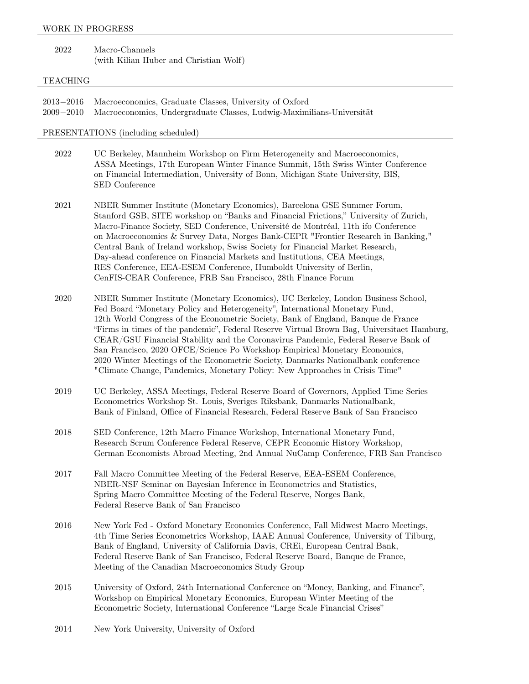#### WORK IN PROGRESS

| 2022 | Macro-Channels                         |
|------|----------------------------------------|
|      | (with Kilian Huber and Christian Wolf) |

#### TEACHING

2013−2016 Macroeconomics, Graduate Classes, University of Oxford 2009−2010 Macroeconomics, Undergraduate Classes, Ludwig-Maximilians-Universität

PRESENTATIONS (including scheduled)

- 2022 UC Berkeley, Mannheim Workshop on Firm Heterogeneity and Macroeconomics, ASSA Meetings, 17th European Winter Finance Summit, 15th Swiss Winter Conference on Financial Intermediation, University of Bonn, Michigan State University, BIS, SED Conference
- 2021 NBER Summer Institute (Monetary Economics), Barcelona GSE Summer Forum, Stanford GSB, SITE workshop on "Banks and Financial Frictions," University of Zurich, Macro-Finance Society, SED Conference, Université de Montréal, 11th ifo Conference on Macroeconomics & Survey Data, Norges Bank-CEPR "Frontier Research in Banking," Central Bank of Ireland workshop, Swiss Society for Financial Market Research, Day-ahead conference on Financial Markets and Institutions, CEA Meetings, RES Conference, EEA-ESEM Conference, Humboldt University of Berlin, CenFIS-CEAR Conference, FRB San Francisco, 28th Finance Forum
- 2020 NBER Summer Institute (Monetary Economics), UC Berkeley, London Business School, Fed Board "Monetary Policy and Heterogeneity", International Monetary Fund, 12th World Congress of the Econometric Society, Bank of England, Banque de France "Firms in times of the pandemic", Federal Reserve Virtual Brown Bag, Universitaet Hamburg, CEAR/GSU Financial Stability and the Coronavirus Pandemic, Federal Reserve Bank of San Francisco, 2020 OFCE/Science Po Workshop Empirical Monetary Economics, 2020 Winter Meetings of the Econometric Society, Danmarks Nationalbank conference "Climate Change, Pandemics, Monetary Policy: New Approaches in Crisis Time"
- 2019 UC Berkeley, ASSA Meetings, Federal Reserve Board of Governors, Applied Time Series Econometrics Workshop St. Louis, Sveriges Riksbank, Danmarks Nationalbank, Bank of Finland, Office of Financial Research, Federal Reserve Bank of San Francisco
- 2018 SED Conference, 12th Macro Finance Workshop, International Monetary Fund, Research Scrum Conference Federal Reserve, CEPR Economic History Workshop, German Economists Abroad Meeting, 2nd Annual NuCamp Conference, FRB San Francisco
- 2017 Fall Macro Committee Meeting of the Federal Reserve, EEA-ESEM Conference, NBER-NSF Seminar on Bayesian Inference in Econometrics and Statistics, Spring Macro Committee Meeting of the Federal Reserve, Norges Bank, Federal Reserve Bank of San Francisco
- 2016 New York Fed Oxford Monetary Economics Conference, Fall Midwest Macro Meetings, 4th Time Series Econometrics Workshop, IAAE Annual Conference, University of Tilburg, Bank of England, University of California Davis, CREi, European Central Bank, Federal Reserve Bank of San Francisco, Federal Reserve Board, Banque de France, Meeting of the Canadian Macroeconomics Study Group
- 2015 University of Oxford, 24th International Conference on "Money, Banking, and Finance", Workshop on Empirical Monetary Economics, European Winter Meeting of the Econometric Society, International Conference "Large Scale Financial Crises"
- 2014 New York University, University of Oxford